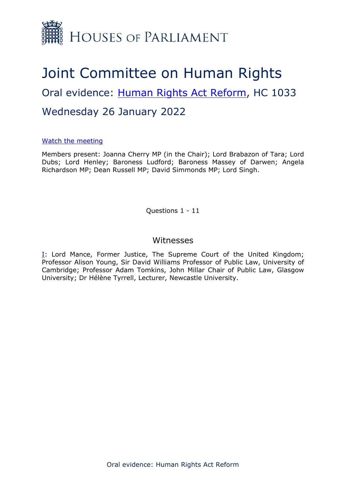

# Joint Committee on Human Rights Oral evidence: [Human](https://committees.parliament.uk/work/6404/human-rights-act-reform/) [Rights](https://committees.parliament.uk/work/6404/human-rights-act-reform/) [Act](https://committees.parliament.uk/work/6404/human-rights-act-reform/) [Reform,](https://committees.parliament.uk/work/6404/human-rights-act-reform/) HC 1033 Wednesday 26 January 2022

## [Watch](https://parliamentlive.tv/event/index/5ed39248-aab4-45fb-b2c3-0517e7ddce7e) [the](https://parliamentlive.tv/event/index/5ed39248-aab4-45fb-b2c3-0517e7ddce7e) [meeting](https://parliamentlive.tv/event/index/5ed39248-aab4-45fb-b2c3-0517e7ddce7e)

Members present: Joanna Cherry MP (in the Chair); Lord Brabazon of Tara; Lord Dubs; Lord Henley; Baroness Ludford; Baroness Massey of Darwen; Angela Richardson MP; Dean Russell MP; David Simmonds MP; Lord Singh.

Questions 1 - 11

## Witnesses

[I:](#page-1-0) Lord Mance, Former Justice, The Supreme Court of the United Kingdom; Professor Alison Young, Sir David Williams Professor of Public Law, University of Cambridge; Professor Adam Tomkins, John Millar Chair of Public Law, Glasgow University; Dr Hélène Tyrrell, Lecturer, Newcastle University.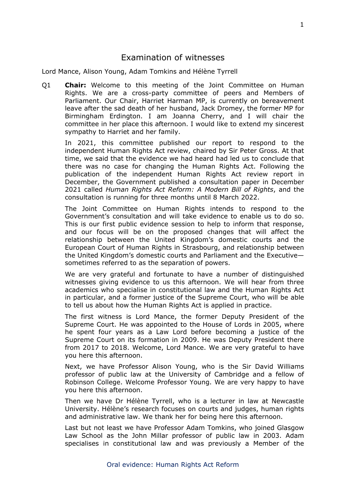## <span id="page-1-0"></span>Examination of witnesses

Lord Mance, Alison Young, Adam Tomkins and Hélène Tyrrell

Q1 **Chair:** Welcome to this meeting of the Joint Committee on Human Rights. We are a cross-party committee of peers and Members of Parliament. Our Chair, Harriet Harman MP, is currently on bereavement leave after the sad death of her husband, Jack Dromey, the former MP for Birmingham Erdington. I am Joanna Cherry, and I will chair the committee in her place this afternoon. I would like to extend my sincerest sympathy to Harriet and her family.

In 2021, this committee published our report to respond to the independent Human Rights Act review, chaired by Sir Peter Gross. At that time, we said that the evidence we had heard had led us to conclude that there was no case for changing the Human Rights Act. Following the publication of the independent Human Rights Act review report in December, the Government published a consultation paper in December 2021 called *Human Rights Act Reform: A Modern Bill of Rights*, and the consultation is running for three months until 8 March 2022.

The Joint Committee on Human Rights intends to respond to the Government's consultation and will take evidence to enable us to do so. This is our first public evidence session to help to inform that response, and our focus will be on the proposed changes that will affect the relationship between the United Kingdom's domestic courts and the European Court of Human Rights in Strasbourg, and relationship between the United Kingdom's domestic courts and Parliament and the Executive sometimes referred to as the separation of powers.

We are very grateful and fortunate to have a number of distinguished witnesses giving evidence to us this afternoon. We will hear from three academics who specialise in constitutional law and the Human Rights Act in particular, and a former justice of the Supreme Court, who will be able to tell us about how the Human Rights Act is applied in practice.

The first witness is Lord Mance, the former Deputy President of the Supreme Court. He was appointed to the House of Lords in 2005, where he spent four years as a Law Lord before becoming a justice of the Supreme Court on its formation in 2009. He was Deputy President there from 2017 to 2018. Welcome, Lord Mance. We are very grateful to have you here this afternoon.

Next, we have Professor Alison Young, who is the Sir David Williams professor of public law at the University of Cambridge and a fellow of Robinson College. Welcome Professor Young. We are very happy to have you here this afternoon.

Then we have Dr Hélène Tyrrell, who is a lecturer in law at Newcastle University. Hélène's research focuses on courts and judges, human rights and administrative law. We thank her for being here this afternoon.

Last but not least we have Professor Adam Tomkins, who joined Glasgow Law School as the John Millar professor of public law in 2003. Adam specialises in constitutional law and was previously a Member of the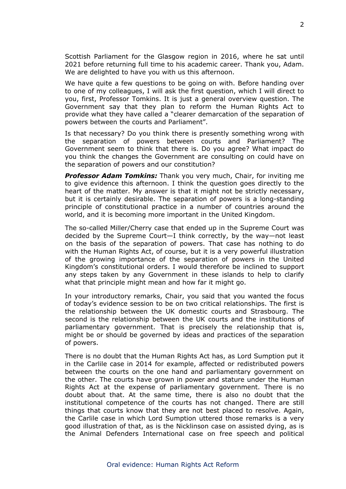Scottish Parliament for the Glasgow region in 2016, where he sat until 2021 before returning full time to his academic career. Thank you, Adam. We are delighted to have you with us this afternoon.

We have quite a few questions to be going on with. Before handing over to one of my colleagues, I will ask the first question, which I will direct to you, first, Professor Tomkins. It is just a general overview question. The Government say that they plan to reform the Human Rights Act to provide what they have called a "clearer demarcation of the separation of powers between the courts and Parliament".

Is that necessary? Do you think there is presently something wrong with the separation of powers between courts and Parliament? The Government seem to think that there is. Do you agree? What impact do you think the changes the Government are consulting on could have on the separation of powers and our constitution?

*Professor Adam Tomkins:* Thank you very much, Chair, for inviting me to give evidence this afternoon. I think the question goes directly to the heart of the matter. My answer is that it might not be strictly necessary, but it is certainly desirable. The separation of powers is a long-standing principle of constitutional practice in a number of countries around the world, and it is becoming more important in the United Kingdom.

The so-called Miller/Cherry case that ended up in the Supreme Court was decided by the Supreme Court—I think correctly, by the way—not least on the basis of the separation of powers. That case has nothing to do with the Human Rights Act, of course, but it is a very powerful illustration of the growing importance of the separation of powers in the United Kingdom's constitutional orders. I would therefore be inclined to support any steps taken by any Government in these islands to help to clarify what that principle might mean and how far it might go.

In your introductory remarks, Chair, you said that you wanted the focus of today's evidence session to be on two critical relationships. The first is the relationship between the UK domestic courts and Strasbourg. The second is the relationship between the UK courts and the institutions of parliamentary government. That is precisely the relationship that is, might be or should be governed by ideas and practices of the separation of powers.

There is no doubt that the Human Rights Act has, as Lord Sumption put it in the Carlile case in 2014 for example, affected or redistributed powers between the courts on the one hand and parliamentary government on the other. The courts have grown in power and stature under the Human Rights Act at the expense of parliamentary government. There is no doubt about that. At the same time, there is also no doubt that the institutional competence of the courts has not changed. There are still things that courts know that they are not best placed to resolve. Again, the Carlile case in which Lord Sumption uttered those remarks is a very good illustration of that, as is the Nicklinson case on assisted dying, as is the Animal Defenders International case on free speech and political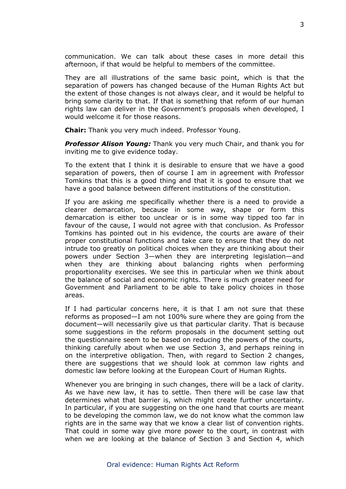communication. We can talk about these cases in more detail this afternoon, if that would be helpful to members of the committee.

They are all illustrations of the same basic point, which is that the separation of powers has changed because of the Human Rights Act but the extent of those changes is not always clear, and it would be helpful to bring some clarity to that. If that is something that reform of our human rights law can deliver in the Government's proposals when developed, I would welcome it for those reasons.

**Chair:** Thank you very much indeed. Professor Young.

*Professor Alison Young:* Thank you very much Chair, and thank you for inviting me to give evidence today.

To the extent that I think it is desirable to ensure that we have a good separation of powers, then of course I am in agreement with Professor Tomkins that this is a good thing and that it is good to ensure that we have a good balance between different institutions of the constitution.

If you are asking me specifically whether there is a need to provide a clearer demarcation, because in some way, shape or form this demarcation is either too unclear or is in some way tipped too far in favour of the cause, I would not agree with that conclusion. As Professor Tomkins has pointed out in his evidence, the courts are aware of their proper constitutional functions and take care to ensure that they do not intrude too greatly on political choices when they are thinking about their powers under Section 3—when they are interpreting legislation—and when they are thinking about balancing rights when performing proportionality exercises. We see this in particular when we think about the balance of social and economic rights. There is much greater need for Government and Parliament to be able to take policy choices in those areas.

If I had particular concerns here, it is that I am not sure that these reforms as proposed—I am not 100% sure where they are going from the document—will necessarily give us that particular clarity. That is because some suggestions in the reform proposals in the document setting out the questionnaire seem to be based on reducing the powers of the courts, thinking carefully about when we use Section 3, and perhaps reining in on the interpretive obligation. Then, with regard to Section 2 changes, there are suggestions that we should look at common law rights and domestic law before looking at the European Court of Human Rights.

Whenever you are bringing in such changes, there will be a lack of clarity. As we have new law, it has to settle. Then there will be case law that determines what that barrier is, which might create further uncertainty. In particular, if you are suggesting on the one hand that courts are meant to be developing the common law, we do not know what the common law rights are in the same way that we know a clear list of convention rights. That could in some way give more power to the court, in contrast with when we are looking at the balance of Section 3 and Section 4, which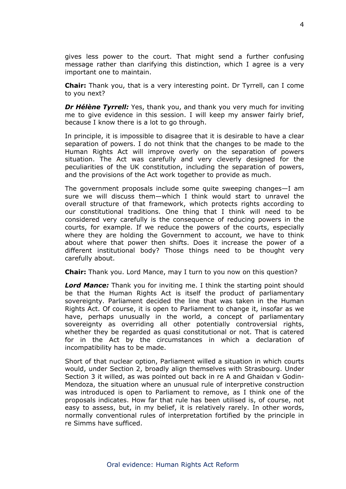gives less power to the court. That might send a further confusing message rather than clarifying this distinction, which I agree is a very important one to maintain.

**Chair:** Thank you, that is a very interesting point. Dr Tyrrell, can I come to you next?

*Dr Hélène Tyrrell:* Yes, thank you, and thank you very much for inviting me to give evidence in this session. I will keep my answer fairly brief, because I know there is a lot to go through.

In principle, it is impossible to disagree that it is desirable to have a clear separation of powers. I do not think that the changes to be made to the Human Rights Act will improve overly on the separation of powers situation. The Act was carefully and very cleverly designed for the peculiarities of the UK constitution, including the separation of powers, and the provisions of the Act work together to provide as much.

The government proposals include some quite sweeping changes—I am sure we will discuss them—which I think would start to unravel the overall structure of that framework, which protects rights according to our constitutional traditions. One thing that I think will need to be considered very carefully is the consequence of reducing powers in the courts, for example. If we reduce the powers of the courts, especially where they are holding the Government to account, we have to think about where that power then shifts. Does it increase the power of a different institutional body? Those things need to be thought very carefully about.

**Chair:** Thank you. Lord Mance, may I turn to you now on this question?

*Lord Mance:* Thank you for inviting me. I think the starting point should be that the Human Rights Act is itself the product of parliamentary sovereignty. Parliament decided the line that was taken in the Human Rights Act. Of course, it is open to Parliament to change it, insofar as we have, perhaps unusually in the world, a concept of parliamentary sovereignty as overriding all other potentially controversial rights, whether they be regarded as quasi constitutional or not. That is catered for in the Act by the circumstances in which a declaration of incompatibility has to be made.

Short of that nuclear option, Parliament willed a situation in which courts would, under Section 2, broadly align themselves with Strasbourg. Under Section 3 it willed, as was pointed out back in re A and Ghaidan v Godin-Mendoza, the situation where an unusual rule of interpretive construction was introduced is open to Parliament to remove, as I think one of the proposals indicates. How far that rule has been utilised is, of course, not easy to assess, but, in my belief, it is relatively rarely. In other words, normally conventional rules of interpretation fortified by the principle in re Simms have sufficed.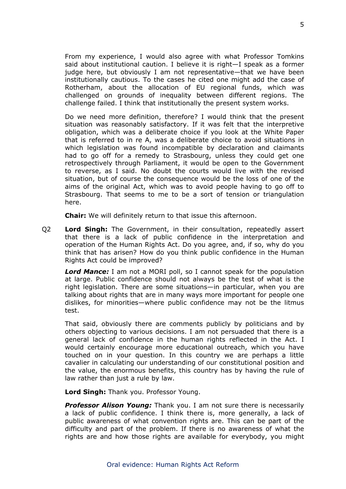From my experience, I would also agree with what Professor Tomkins said about institutional caution. I believe it is right—I speak as a former judge here, but obviously I am not representative—that we have been institutionally cautious. To the cases he cited one might add the case of Rotherham, about the allocation of EU regional funds, which was challenged on grounds of inequality between different regions. The challenge failed. I think that institutionally the present system works.

Do we need more definition, therefore? I would think that the present situation was reasonably satisfactory. If it was felt that the interpretive obligation, which was a deliberate choice if you look at the White Paper that is referred to in re A, was a deliberate choice to avoid situations in which legislation was found incompatible by declaration and claimants had to go off for a remedy to Strasbourg, unless they could get one retrospectively through Parliament, it would be open to the Government to reverse, as I said. No doubt the courts would live with the revised situation, but of course the consequence would be the loss of one of the aims of the original Act, which was to avoid people having to go off to Strasbourg. That seems to me to be a sort of tension or triangulation here.

**Chair:** We will definitely return to that issue this afternoon.

Q2 **Lord Singh:** The Government, in their consultation, repeatedly assert that there is a lack of public confidence in the interpretation and operation of the Human Rights Act. Do you agree, and, if so, why do you think that has arisen? How do you think public confidence in the Human Rights Act could be improved?

*Lord Mance:* I am not a MORI poll, so I cannot speak for the population at large. Public confidence should not always be the test of what is the right legislation. There are some situations—in particular, when you are talking about rights that are in many ways more important for people one dislikes, for minorities—where public confidence may not be the litmus test.

That said, obviously there are comments publicly by politicians and by others objecting to various decisions. I am not persuaded that there is a general lack of confidence in the human rights reflected in the Act. I would certainly encourage more educational outreach, which you have touched on in your question. In this country we are perhaps a little cavalier in calculating our understanding of our constitutional position and the value, the enormous benefits, this country has by having the rule of law rather than just a rule by law.

**Lord Singh:** Thank you. Professor Young.

*Professor Alison Young:* Thank you. I am not sure there is necessarily a lack of public confidence. I think there is, more generally, a lack of public awareness of what convention rights are. This can be part of the difficulty and part of the problem. If there is no awareness of what the rights are and how those rights are available for everybody, you might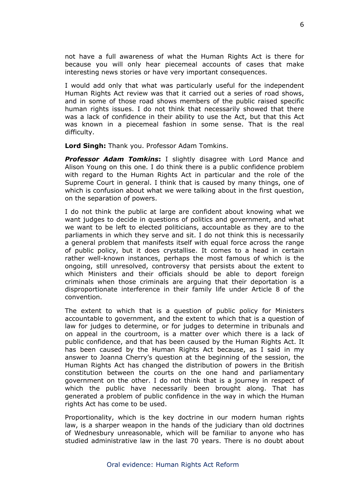not have a full awareness of what the Human Rights Act is there for because you will only hear piecemeal accounts of cases that make interesting news stories or have very important consequences.

I would add only that what was particularly useful for the independent Human Rights Act review was that it carried out a series of road shows, and in some of those road shows members of the public raised specific human rights issues. I do not think that necessarily showed that there was a lack of confidence in their ability to use the Act, but that this Act was known in a piecemeal fashion in some sense. That is the real difficulty.

**Lord Singh:** Thank you. Professor Adam Tomkins.

*Professor Adam Tomkins***:** I slightly disagree with Lord Mance and Alison Young on this one. I do think there is a public confidence problem with regard to the Human Rights Act in particular and the role of the Supreme Court in general. I think that is caused by many things, one of which is confusion about what we were talking about in the first question, on the separation of powers.

I do not think the public at large are confident about knowing what we want judges to decide in questions of politics and government, and what we want to be left to elected politicians, accountable as they are to the parliaments in which they serve and sit. I do not think this is necessarily a general problem that manifests itself with equal force across the range of public policy, but it does crystallise. It comes to a head in certain rather well-known instances, perhaps the most famous of which is the ongoing, still unresolved, controversy that persists about the extent to which Ministers and their officials should be able to deport foreign criminals when those criminals are arguing that their deportation is a disproportionate interference in their family life under Article 8 of the convention.

The extent to which that is a question of public policy for Ministers accountable to government, and the extent to which that is a question of law for judges to determine, or for judges to determine in tribunals and on appeal in the courtroom, is a matter over which there is a lack of public confidence, and that has been caused by the Human Rights Act. It has been caused by the Human Rights Act because, as I said in my answer to Joanna Cherry's question at the beginning of the session, the Human Rights Act has changed the distribution of powers in the British constitution between the courts on the one hand and parliamentary government on the other. I do not think that is a journey in respect of which the public have necessarily been brought along. That has generated a problem of public confidence in the way in which the Human rights Act has come to be used.

Proportionality, which is the key doctrine in our modern human rights law, is a sharper weapon in the hands of the judiciary than old doctrines of Wednesbury unreasonable, which will be familiar to anyone who has studied administrative law in the last 70 years. There is no doubt about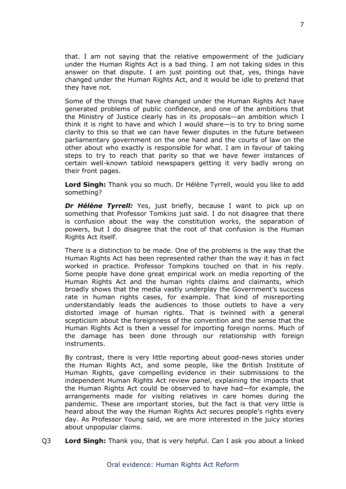that. I am not saying that the relative empowerment of the judiciary under the Human Rights Act is a bad thing. I am not taking sides in this answer on that dispute. I am just pointing out that, yes, things have changed under the Human Rights Act, and it would be idle to pretend that they have not.

Some of the things that have changed under the Human Rights Act have generated problems of public confidence, and one of the ambitions that the Ministry of Justice clearly has in its proposals—an ambition which I think it is right to have and which I would share—is to try to bring some clarity to this so that we can have fewer disputes in the future between parliamentary government on the one hand and the courts of law on the other about who exactly is responsible for what. I am in favour of taking steps to try to reach that parity so that we have fewer instances of certain well-known tabloid newspapers getting it very badly wrong on their front pages.

**Lord Singh:** Thank you so much. Dr Hélène Tyrrell, would you like to add something?

**Dr Hélène Tyrrell:** Yes, just briefly, because I want to pick up on something that Professor Tomkins just said. I do not disagree that there is confusion about the way the constitution works, the separation of powers, but I do disagree that the root of that confusion is the Human Rights Act itself.

There is a distinction to be made. One of the problems is the way that the Human Rights Act has been represented rather than the way it has in fact worked in practice. Professor Tompkins touched on that in his reply. Some people have done great empirical work on media reporting of the Human Rights Act and the human rights claims and claimants, which broadly shows that the media vastly underplay the Government's success rate in human rights cases, for example. That kind of misreporting understandably leads the audiences to those outlets to have a very distorted image of human rights. That is twinned with a general scepticism about the foreignness of the convention and the sense that the Human Rights Act is then a vessel for importing foreign norms. Much of the damage has been done through our relationship with foreign instruments.

By contrast, there is very little reporting about good-news stories under the Human Rights Act, and some people, like the British Institute of Human Rights, gave compelling evidence in their submissions to the independent Human Rights Act review panel, explaining the impacts that the Human Rights Act could be observed to have had—for example, the arrangements made for visiting relatives in care homes during the pandemic. These are important stories, but the fact is that very little is heard about the way the Human Rights Act secures people's rights every day. As Professor Young said, we are more interested in the juicy stories about unpopular claims.

Q3 **Lord Singh:** Thank you, that is very helpful. Can I ask you about a linked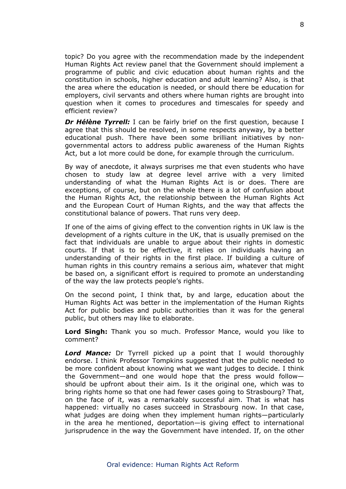topic? Do you agree with the recommendation made by the independent Human Rights Act review panel that the Government should implement a programme of public and civic education about human rights and the constitution in schools, higher education and adult learning? Also, is that the area where the education is needed, or should there be education for employers, civil servants and others where human rights are brought into question when it comes to procedures and timescales for speedy and efficient review?

**Dr Hélène Tyrrell:** I can be fairly brief on the first question, because I agree that this should be resolved, in some respects anyway, by a better educational push. There have been some brilliant initiatives by nongovernmental actors to address public awareness of the Human Rights Act, but a lot more could be done, for example through the curriculum.

By way of anecdote, it always surprises me that even students who have chosen to study law at degree level arrive with a very limited understanding of what the Human Rights Act is or does. There are exceptions, of course, but on the whole there is a lot of confusion about the Human Rights Act, the relationship between the Human Rights Act and the European Court of Human Rights, and the way that affects the constitutional balance of powers. That runs very deep.

If one of the aims of giving effect to the convention rights in UK law is the development of a rights culture in the UK, that is usually premised on the fact that individuals are unable to argue about their rights in domestic courts. If that is to be effective, it relies on individuals having an understanding of their rights in the first place. If building a culture of human rights in this country remains a serious aim, whatever that might be based on, a significant effort is required to promote an understanding of the way the law protects people's rights.

On the second point, I think that, by and large, education about the Human Rights Act was better in the implementation of the Human Rights Act for public bodies and public authorities than it was for the general public, but others may like to elaborate.

**Lord Singh:** Thank you so much. Professor Mance, would you like to comment?

*Lord Mance:* Dr Tyrrell picked up a point that I would thoroughly endorse. I think Professor Tompkins suggested that the public needed to be more confident about knowing what we want judges to decide. I think the Government—and one would hope that the press would follow should be upfront about their aim. Is it the original one, which was to bring rights home so that one had fewer cases going to Strasbourg? That, on the face of it, was a remarkably successful aim. That is what has happened: virtually no cases succeed in Strasbourg now. In that case, what judges are doing when they implement human rights—particularly in the area he mentioned, deportation—is giving effect to international jurisprudence in the way the Government have intended. If, on the other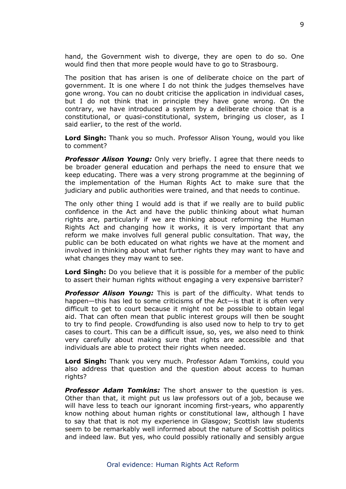hand, the Government wish to diverge, they are open to do so. One would find then that more people would have to go to Strasbourg.

The position that has arisen is one of deliberate choice on the part of government. It is one where I do not think the judges themselves have gone wrong. You can no doubt criticise the application in individual cases, but I do not think that in principle they have gone wrong. On the contrary, we have introduced a system by a deliberate choice that is a constitutional, or quasi-constitutional, system, bringing us closer, as I said earlier, to the rest of the world.

**Lord Singh:** Thank you so much. Professor Alison Young, would you like to comment?

*Professor Alison Young:* Only very briefly. I agree that there needs to be broader general education and perhaps the need to ensure that we keep educating. There was a very strong programme at the beginning of the implementation of the Human Rights Act to make sure that the judiciary and public authorities were trained, and that needs to continue.

The only other thing I would add is that if we really are to build public confidence in the Act and have the public thinking about what human rights are, particularly if we are thinking about reforming the Human Rights Act and changing how it works, it is very important that any reform we make involves full general public consultation. That way, the public can be both educated on what rights we have at the moment and involved in thinking about what further rights they may want to have and what changes they may want to see.

**Lord Singh:** Do you believe that it is possible for a member of the public to assert their human rights without engaging a very expensive barrister?

*Professor Alison Young:* This is part of the difficulty. What tends to happen—this has led to some criticisms of the Act—is that it is often very difficult to get to court because it might not be possible to obtain legal aid. That can often mean that public interest groups will then be sought to try to find people. Crowdfunding is also used now to help to try to get cases to court. This can be a difficult issue, so, yes, we also need to think very carefully about making sure that rights are accessible and that individuals are able to protect their rights when needed.

**Lord Singh:** Thank you very much. Professor Adam Tomkins, could you also address that question and the question about access to human rights?

*Professor Adam Tomkins:* The short answer to the question is yes. Other than that, it might put us law professors out of a job, because we will have less to teach our janorant incoming first-years, who apparently know nothing about human rights or constitutional law, although I have to say that that is not my experience in Glasgow; Scottish law students seem to be remarkably well informed about the nature of Scottish politics and indeed law. But yes, who could possibly rationally and sensibly argue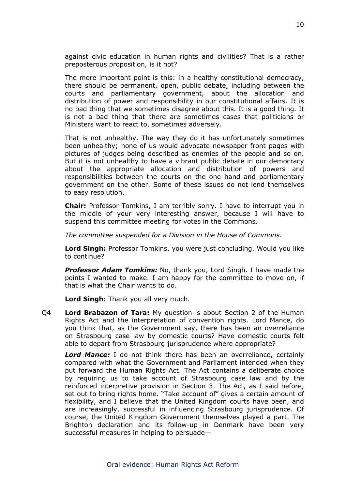against civic education in human rights and civilities? That is a rather preposterous proposition, is it not?

The more important point is this: in a healthy constitutional democracy, there should be permanent, open, public debate, including between the courts and parliamentary government, about the allocation and distribution of power and responsibility in our constitutional affairs. It is no bad thing that we sometimes disagree about this. It is a good thing. It is not a bad thing that there are sometimes cases that politicians or Ministers want to react to, sometimes adversely.

That is not unhealthy. The way they do it has unfortunately sometimes been unhealthy; none of us would advocate newspaper front pages with pictures of judges being described as enemies of the people and so on. But it is not unhealthy to have a vibrant public debate in our democracy about the appropriate allocation and distribution of powers and responsibilities between the courts on the one hand and parliamentary government on the other. Some of these issues do not lend themselves to easy resolution.

**Chair:** Professor Tomkins, I am terribly sorry. I have to interrupt you in the middle of your very interesting answer, because I will have to suspend this committee meeting for votes in the Commons.

*The committee suspended for a Division in the House of Commons.*

**Lord Singh:** Professor Tomkins, you were just concluding. Would you like to continue?

*Professor Adam Tomkins:* No, thank you, Lord Singh. I have made the points I wanted to make. I am happy for the committee to move on, if that is what the Chair wants to do.

**Lord Singh:** Thank you all very much.

Q4 **Lord Brabazon of Tara:** My question is about Section 2 of the Human Rights Act and the interpretation of convention rights. Lord Mance, do you think that, as the Government say, there has been an overreliance on Strasbourg case law by domestic courts? Have domestic courts felt able to depart from Strasbourg jurisprudence where appropriate?

*Lord Mance:* I do not think there has been an overreliance, certainly compared with what the Government and Parliament intended when they put forward the Human Rights Act. The Act contains a deliberate choice by requiring us to take account of Strasbourg case law and by the reinforced interpretive provision in Section 3. The Act, as I said before, set out to bring rights home. "Take account of" gives a certain amount of flexibility, and I believe that the United Kingdom courts have been, and are increasingly, successful in influencing Strasbourg jurisprudence. Of course, the United Kingdom Government themselves played a part. The Brighton declaration and its follow-up in Denmark have been very successful measures in helping to persuade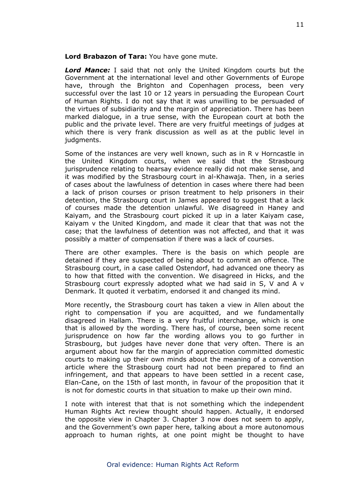**Lord Brabazon of Tara:** You have gone mute.

*Lord Mance:* I said that not only the United Kingdom courts but the Government at the international level and other Governments of Europe have, through the Brighton and Copenhagen process, been very successful over the last 10 or 12 years in persuading the European Court of Human Rights. I do not say that it was unwilling to be persuaded of the virtues of subsidiarity and the margin of appreciation. There has been marked dialogue, in a true sense, with the European court at both the public and the private level. There are very fruitful meetings of judges at which there is very frank discussion as well as at the public level in judgments.

Some of the instances are very well known, such as in R v Horncastle in the United Kingdom courts, when we said that the Strasbourg jurisprudence relating to hearsay evidence really did not make sense, and it was modified by the Strasbourg court in al-Khawaja. Then, in a series of cases about the lawfulness of detention in cases where there had been a lack of prison courses or prison treatment to help prisoners in their detention, the Strasbourg court in James appeared to suggest that a lack of courses made the detention unlawful. We disagreed in Haney and Kaiyam, and the Strasbourg court picked it up in a later Kaiyam case, Kaiyam v the United Kingdom, and made it clear that that was not the case; that the lawfulness of detention was not affected, and that it was possibly a matter of compensation if there was a lack of courses.

There are other examples. There is the basis on which people are detained if they are suspected of being about to commit an offence. The Strasbourg court, in a case called Ostendorf, had advanced one theory as to how that fitted with the convention. We disagreed in Hicks, and the Strasbourg court expressly adopted what we had said in S, V and A v Denmark. It quoted it verbatim, endorsed it and changed its mind.

More recently, the Strasbourg court has taken a view in Allen about the right to compensation if you are acquitted, and we fundamentally disagreed in Hallam. There is a very fruitful interchange, which is one that is allowed by the wording. There has, of course, been some recent jurisprudence on how far the wording allows you to go further in Strasbourg, but judges have never done that very often. There is an argument about how far the margin of appreciation committed domestic courts to making up their own minds about the meaning of a convention article where the Strasbourg court had not been prepared to find an infringement, and that appears to have been settled in a recent case, Elan-Cane, on the 15th of last month, in favour of the proposition that it is not for domestic courts in that situation to make up their own mind.

I note with interest that that is not something which the independent Human Rights Act review thought should happen. Actually, it endorsed the opposite view in Chapter 3. Chapter 3 now does not seem to apply, and the Government's own paper here, talking about a more autonomous approach to human rights, at one point might be thought to have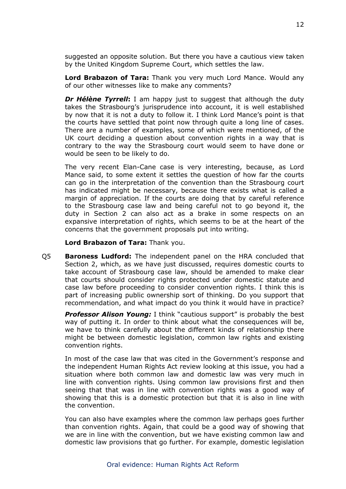suggested an opposite solution. But there you have a cautious view taken by the United Kingdom Supreme Court, which settles the law.

**Lord Brabazon of Tara:** Thank you very much Lord Mance. Would any of our other witnesses like to make any comments?

*Dr Hélène Tyrrell***:** I am happy just to suggest that although the duty takes the Strasbourg's jurisprudence into account, it is well established by now that it is not a duty to follow it. I think Lord Mance's point is that the courts have settled that point now through quite a long line of cases. There are a number of examples, some of which were mentioned, of the UK court deciding a question about convention rights in a way that is contrary to the way the Strasbourg court would seem to have done or would be seen to be likely to do.

The very recent Elan-Cane case is very interesting, because, as Lord Mance said, to some extent it settles the question of how far the courts can go in the interpretation of the convention than the Strasbourg court has indicated might be necessary, because there exists what is called a margin of appreciation. If the courts are doing that by careful reference to the Strasbourg case law and being careful not to go beyond it, the duty in Section 2 can also act as a brake in some respects on an expansive interpretation of rights, which seems to be at the heart of the concerns that the government proposals put into writing.

**Lord Brabazon of Tara:** Thank you.

Q5 **Baroness Ludford:** The independent panel on the HRA concluded that Section 2, which, as we have just discussed, requires domestic courts to take account of Strasbourg case law, should be amended to make clear that courts should consider rights protected under domestic statute and case law before proceeding to consider convention rights. I think this is part of increasing public ownership sort of thinking. Do you support that recommendation, and what impact do you think it would have in practice?

*Professor Alison Young:* I think "cautious support" is probably the best way of putting it. In order to think about what the consequences will be, we have to think carefully about the different kinds of relationship there might be between domestic legislation, common law rights and existing convention rights.

In most of the case law that was cited in the Government's response and the independent Human Rights Act review looking at this issue, you had a situation where both common law and domestic law was very much in line with convention rights. Using common law provisions first and then seeing that that was in line with convention rights was a good way of showing that this is a domestic protection but that it is also in line with the convention.

You can also have examples where the common law perhaps goes further than convention rights. Again, that could be a good way of showing that we are in line with the convention, but we have existing common law and domestic law provisions that go further. For example, domestic legislation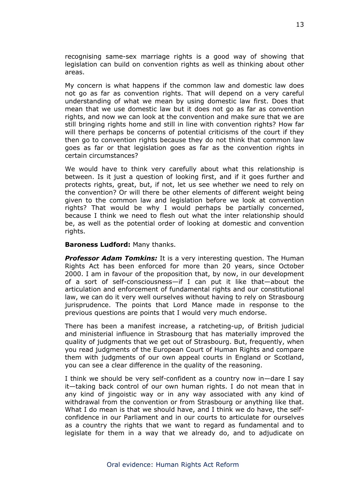recognising same-sex marriage rights is a good way of showing that legislation can build on convention rights as well as thinking about other areas.

My concern is what happens if the common law and domestic law does not go as far as convention rights. That will depend on a very careful understanding of what we mean by using domestic law first. Does that mean that we use domestic law but it does not go as far as convention rights, and now we can look at the convention and make sure that we are still bringing rights home and still in line with convention rights? How far will there perhaps be concerns of potential criticisms of the court if they then go to convention rights because they do not think that common law goes as far or that legislation goes as far as the convention rights in certain circumstances?

We would have to think very carefully about what this relationship is between. Is it just a question of looking first, and if it goes further and protects rights, great, but, if not, let us see whether we need to rely on the convention? Or will there be other elements of different weight being given to the common law and legislation before we look at convention rights? That would be why I would perhaps be partially concerned, because I think we need to flesh out what the inter relationship should be, as well as the potential order of looking at domestic and convention rights.

#### **Baroness Ludford:** Many thanks.

*Professor Adam Tomkins:* It is a very interesting question. The Human Rights Act has been enforced for more than 20 years, since October 2000. I am in favour of the proposition that, by now, in our development of a sort of self-consciousness—if I can put it like that—about the articulation and enforcement of fundamental rights and our constitutional law, we can do it very well ourselves without having to rely on Strasbourg jurisprudence. The points that Lord Mance made in response to the previous questions are points that I would very much endorse.

There has been a manifest increase, a ratcheting-up, of British judicial and ministerial influence in Strasbourg that has materially improved the quality of judgments that we get out of Strasbourg. But, frequently, when you read judgments of the European Court of Human Rights and compare them with judgments of our own appeal courts in England or Scotland, you can see a clear difference in the quality of the reasoning.

I think we should be very self-confident as a country now in—dare I say it—taking back control of our own human rights. I do not mean that in any kind of jingoistic way or in any way associated with any kind of withdrawal from the convention or from Strasbourg or anything like that. What I do mean is that we should have, and I think we do have, the selfconfidence in our Parliament and in our courts to articulate for ourselves as a country the rights that we want to regard as fundamental and to legislate for them in a way that we already do, and to adjudicate on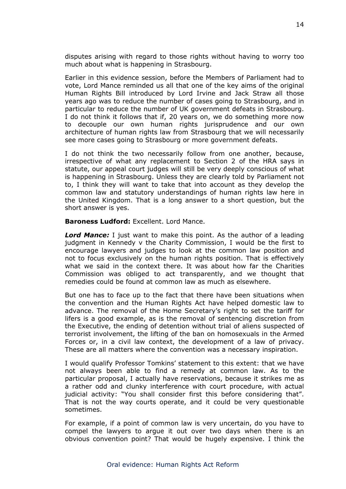disputes arising with regard to those rights without having to worry too much about what is happening in Strasbourg.

Earlier in this evidence session, before the Members of Parliament had to vote, Lord Mance reminded us all that one of the key aims of the original Human Rights Bill introduced by Lord Irvine and Jack Straw all those years ago was to reduce the number of cases going to Strasbourg, and in particular to reduce the number of UK government defeats in Strasbourg. I do not think it follows that if, 20 years on, we do something more now to decouple our own human rights jurisprudence and our own architecture of human rights law from Strasbourg that we will necessarily see more cases going to Strasbourg or more government defeats.

I do not think the two necessarily follow from one another, because, irrespective of what any replacement to Section 2 of the HRA says in statute, our appeal court judges will still be very deeply conscious of what is happening in Strasbourg. Unless they are clearly told by Parliament not to, I think they will want to take that into account as they develop the common law and statutory understandings of human rights law here in the United Kingdom. That is a long answer to a short question, but the short answer is yes.

**Baroness Ludford:** Excellent. Lord Mance.

*Lord Mance:* I just want to make this point. As the author of a leading judgment in Kennedy v the Charity Commission, I would be the first to encourage lawyers and judges to look at the common law position and not to focus exclusively on the human rights position. That is effectively what we said in the context there. It was about how far the Charities Commission was obliged to act transparently, and we thought that remedies could be found at common law as much as elsewhere.

But one has to face up to the fact that there have been situations when the convention and the Human Rights Act have helped domestic law to advance. The removal of the Home Secretary's right to set the tariff for lifers is a good example, as is the removal of sentencing discretion from the Executive, the ending of detention without trial of aliens suspected of terrorist involvement, the lifting of the ban on homosexuals in the Armed Forces or, in a civil law context, the development of a law of privacy. These are all matters where the convention was a necessary inspiration.

I would qualify Professor Tomkins' statement to this extent: that we have not always been able to find a remedy at common law. As to the particular proposal, I actually have reservations, because it strikes me as a rather odd and clunky interference with court procedure, with actual judicial activity: "You shall consider first this before considering that". That is not the way courts operate, and it could be very questionable sometimes.

For example, if a point of common law is very uncertain, do you have to compel the lawyers to argue it out over two days when there is an obvious convention point? That would be hugely expensive. I think the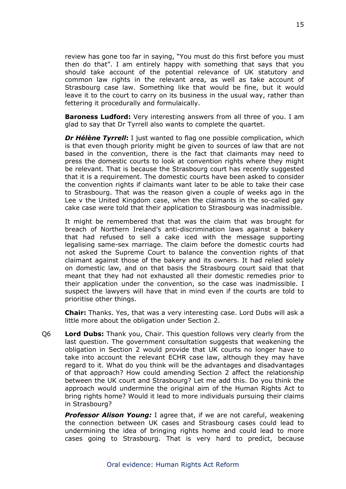review has gone too far in saying, "You must do this first before you must then do that". I am entirely happy with something that says that you should take account of the potential relevance of UK statutory and common law rights in the relevant area, as well as take account of Strasbourg case law. Something like that would be fine, but it would leave it to the court to carry on its business in the usual way, rather than fettering it procedurally and formulaically.

**Baroness Ludford:** Very interesting answers from all three of you. I am glad to say that Dr Tyrrell also wants to complete the quartet.

*Dr Hélène Tyrrell***:** I just wanted to flag one possible complication, which is that even though priority might be given to sources of law that are not based in the convention, there is the fact that claimants may need to press the domestic courts to look at convention rights where they might be relevant. That is because the Strasbourg court has recently suggested that it is a requirement. The domestic courts have been asked to consider the convention rights if claimants want later to be able to take their case to Strasbourg. That was the reason given a couple of weeks ago in the Lee v the United Kingdom case, when the claimants in the so-called gay cake case were told that their application to Strasbourg was inadmissible.

It might be remembered that that was the claim that was brought for breach of Northern Ireland's anti-discrimination laws against a bakery that had refused to sell a cake iced with the message supporting legalising same-sex marriage. The claim before the domestic courts had not asked the Supreme Court to balance the convention rights of that claimant against those of the bakery and its owners. It had relied solely on domestic law, and on that basis the Strasbourg court said that that meant that they had not exhausted all their domestic remedies prior to their application under the convention, so the case was inadmissible. I suspect the lawyers will have that in mind even if the courts are told to prioritise other things.

**Chair:** Thanks. Yes, that was a very interesting case. Lord Dubs will ask a little more about the obligation under Section 2.

Q6 **Lord Dubs:** Thank you, Chair. This question follows very clearly from the last question. The government consultation suggests that weakening the obligation in Section 2 would provide that UK courts no longer have to take into account the relevant ECHR case law, although they may have regard to it. What do you think will be the advantages and disadvantages of that approach? How could amending Section 2 affect the relationship between the UK court and Strasbourg? Let me add this. Do you think the approach would undermine the original aim of the Human Rights Act to bring rights home? Would it lead to more individuals pursuing their claims in Strasbourg?

*Professor Alison Young:* I agree that, if we are not careful, weakening the connection between UK cases and Strasbourg cases could lead to undermining the idea of bringing rights home and could lead to more cases going to Strasbourg. That is very hard to predict, because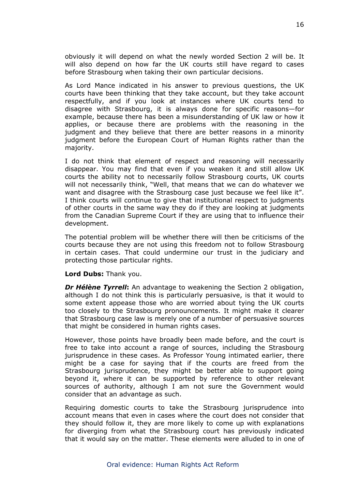obviously it will depend on what the newly worded Section 2 will be. It will also depend on how far the UK courts still have regard to cases before Strasbourg when taking their own particular decisions.

As Lord Mance indicated in his answer to previous questions, the UK courts have been thinking that they take account, but they take account respectfully, and if you look at instances where UK courts tend to disagree with Strasbourg, it is always done for specific reasons—for example, because there has been a misunderstanding of UK law or how it applies, or because there are problems with the reasoning in the judgment and they believe that there are better reasons in a minority judgment before the European Court of Human Rights rather than the majority.

I do not think that element of respect and reasoning will necessarily disappear. You may find that even if you weaken it and still allow UK courts the ability not to necessarily follow Strasbourg courts, UK courts will not necessarily think, "Well, that means that we can do whatever we want and disagree with the Strasbourg case just because we feel like it". I think courts will continue to give that institutional respect to judgments of other courts in the same way they do if they are looking at judgments from the Canadian Supreme Court if they are using that to influence their development.

The potential problem will be whether there will then be criticisms of the courts because they are not using this freedom not to follow Strasbourg in certain cases. That could undermine our trust in the judiciary and protecting those particular rights.

**Lord Dubs:** Thank you.

*Dr Hélène Tyrrell***:** An advantage to weakening the Section 2 obligation, although I do not think this is particularly persuasive, is that it would to some extent appease those who are worried about tying the UK courts too closely to the Strasbourg pronouncements. It might make it clearer that Strasbourg case law is merely one of a number of persuasive sources that might be considered in human rights cases.

However, those points have broadly been made before, and the court is free to take into account a range of sources, including the Strasbourg jurisprudence in these cases. As Professor Young intimated earlier, there might be a case for saying that if the courts are freed from the Strasbourg jurisprudence, they might be better able to support going beyond it, where it can be supported by reference to other relevant sources of authority, although I am not sure the Government would consider that an advantage as such.

Requiring domestic courts to take the Strasbourg jurisprudence into account means that even in cases where the court does not consider that they should follow it, they are more likely to come up with explanations for diverging from what the Strasbourg court has previously indicated that it would say on the matter. These elements were alluded to in one of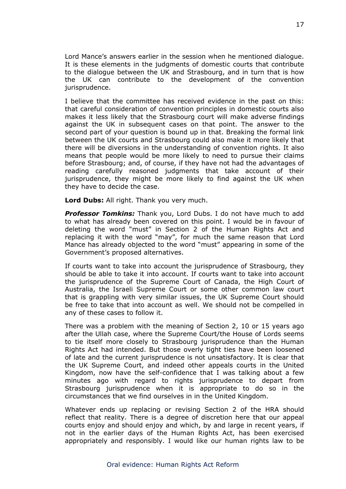Lord Mance's answers earlier in the session when he mentioned dialogue. It is these elements in the judgments of domestic courts that contribute to the dialogue between the UK and Strasbourg, and in turn that is how the UK can contribute to the development of the convention jurisprudence.

I believe that the committee has received evidence in the past on this: that careful consideration of convention principles in domestic courts also makes it less likely that the Strasbourg court will make adverse findings against the UK in subsequent cases on that point. The answer to the second part of your question is bound up in that. Breaking the formal link between the UK courts and Strasbourg could also make it more likely that there will be diversions in the understanding of convention rights. It also means that people would be more likely to need to pursue their claims before Strasbourg; and, of course, if they have not had the advantages of reading carefully reasoned judgments that take account of their jurisprudence, they might be more likely to find against the UK when they have to decide the case.

**Lord Dubs:** All right. Thank you very much.

*Professor Tomkins:* Thank you, Lord Dubs. I do not have much to add to what has already been covered on this point. I would be in favour of deleting the word "must" in Section 2 of the Human Rights Act and replacing it with the word "may", for much the same reason that Lord Mance has already objected to the word "must" appearing in some of the Government's proposed alternatives.

If courts want to take into account the jurisprudence of Strasbourg, they should be able to take it into account. If courts want to take into account the jurisprudence of the Supreme Court of Canada, the High Court of Australia, the Israeli Supreme Court or some other common law court that is grappling with very similar issues, the UK Supreme Court should be free to take that into account as well. We should not be compelled in any of these cases to follow it.

There was a problem with the meaning of Section 2, 10 or 15 years ago after the Ullah case, where the Supreme Court/the House of Lords seems to tie itself more closely to Strasbourg jurisprudence than the Human Rights Act had intended. But those overly tight ties have been loosened of late and the current jurisprudence is not unsatisfactory. It is clear that the UK Supreme Court, and indeed other appeals courts in the United Kingdom, now have the self-confidence that I was talking about a few minutes ago with regard to rights jurisprudence to depart from Strasbourg jurisprudence when it is appropriate to do so in the circumstances that we find ourselves in in the United Kingdom.

Whatever ends up replacing or revising Section 2 of the HRA should reflect that reality. There is a degree of discretion here that our appeal courts enjoy and should enjoy and which, by and large in recent years, if not in the earlier days of the Human Rights Act, has been exercised appropriately and responsibly. I would like our human rights law to be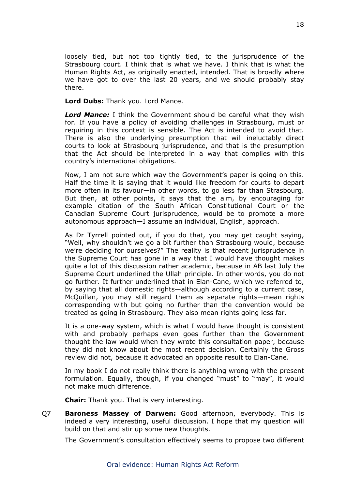loosely tied, but not too tightly tied, to the jurisprudence of the Strasbourg court. I think that is what we have. I think that is what the Human Rights Act, as originally enacted, intended. That is broadly where we have got to over the last 20 years, and we should probably stay there.

### **Lord Dubs:** Thank you. Lord Mance.

*Lord Mance:* I think the Government should be careful what they wish for. If you have a policy of avoiding challenges in Strasbourg, must or requiring in this context is sensible. The Act is intended to avoid that. There is also the underlying presumption that will ineluctably direct courts to look at Strasbourg jurisprudence, and that is the presumption that the Act should be interpreted in a way that complies with this country's international obligations.

Now, I am not sure which way the Government's paper is going on this. Half the time it is saying that it would like freedom for courts to depart more often in its favour—in other words, to go less far than Strasbourg. But then, at other points, it says that the aim, by encouraging for example citation of the South African Constitutional Court or the Canadian Supreme Court jurisprudence, would be to promote a more autonomous approach—I assume an individual, English, approach.

As Dr Tyrrell pointed out, if you do that, you may get caught saying, "Well, why shouldn't we go a bit further than Strasbourg would, because we're deciding for ourselves?" The reality is that recent jurisprudence in the Supreme Court has gone in a way that I would have thought makes quite a lot of this discussion rather academic, because in AB last July the Supreme Court underlined the Ullah principle. In other words, you do not go further. It further underlined that in Elan-Cane, which we referred to, by saying that all domestic rights—although according to a current case, McQuillan, you may still regard them as separate rights—mean rights corresponding with but going no further than the convention would be treated as going in Strasbourg. They also mean rights going less far.

It is a one-way system, which is what I would have thought is consistent with and probably perhaps even goes further than the Government thought the law would when they wrote this consultation paper, because they did not know about the most recent decision. Certainly the Gross review did not, because it advocated an opposite result to Elan-Cane.

In my book I do not really think there is anything wrong with the present formulation. Equally, though, if you changed "must" to "may", it would not make much difference.

**Chair:** Thank you. That is very interesting.

Q7 **Baroness Massey of Darwen:** Good afternoon, everybody. This is indeed a very interesting, useful discussion. I hope that my question will build on that and stir up some new thoughts.

The Government's consultation effectively seems to propose two different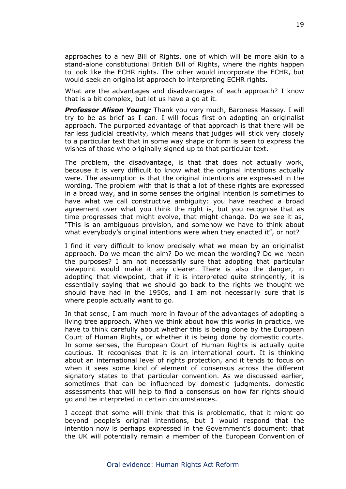approaches to a new Bill of Rights, one of which will be more akin to a stand-alone constitutional British Bill of Rights, where the rights happen to look like the ECHR rights. The other would incorporate the ECHR, but would seek an originalist approach to interpreting ECHR rights.

What are the advantages and disadvantages of each approach? I know that is a bit complex, but let us have a go at it.

*Professor Alison Young:* Thank you very much, Baroness Massey. I will try to be as brief as I can. I will focus first on adopting an originalist approach. The purported advantage of that approach is that there will be far less judicial creativity, which means that judges will stick very closely to a particular text that in some way shape or form is seen to express the wishes of those who originally signed up to that particular text.

The problem, the disadvantage, is that that does not actually work, because it is very difficult to know what the original intentions actually were. The assumption is that the original intentions are expressed in the wording. The problem with that is that a lot of these rights are expressed in a broad way, and in some senses the original intention is sometimes to have what we call constructive ambiguity: you have reached a broad agreement over what you think the right is, but you recognise that as time progresses that might evolve, that might change. Do we see it as, "This is an ambiguous provision, and somehow we have to think about what everybody's original intentions were when they enacted it", or not?

I find it very difficult to know precisely what we mean by an originalist approach. Do we mean the aim? Do we mean the wording? Do we mean the purposes? I am not necessarily sure that adopting that particular viewpoint would make it any clearer. There is also the danger, in adopting that viewpoint, that if it is interpreted quite stringently, it is essentially saying that we should go back to the rights we thought we should have had in the 1950s, and I am not necessarily sure that is where people actually want to go.

In that sense, I am much more in favour of the advantages of adopting a living tree approach. When we think about how this works in practice, we have to think carefully about whether this is being done by the European Court of Human Rights, or whether it is being done by domestic courts. In some senses, the European Court of Human Rights is actually quite cautious. It recognises that it is an international court. It is thinking about an international level of rights protection, and it tends to focus on when it sees some kind of element of consensus across the different signatory states to that particular convention. As we discussed earlier, sometimes that can be influenced by domestic judgments, domestic assessments that will help to find a consensus on how far rights should go and be interpreted in certain circumstances.

I accept that some will think that this is problematic, that it might go beyond people's original intentions, but I would respond that the intention now is perhaps expressed in the Government's document: that the UK will potentially remain a member of the European Convention of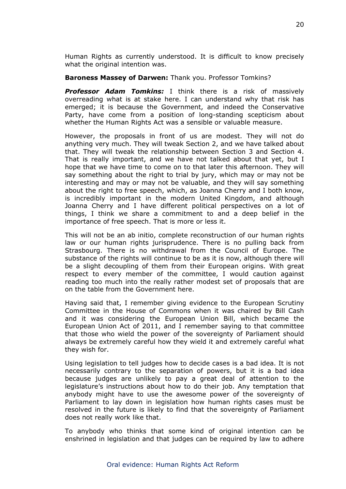Human Rights as currently understood. It is difficult to know precisely what the original intention was.

#### **Baroness Massey of Darwen:** Thank you. Professor Tomkins?

*Professor Adam Tomkins:* I think there is a risk of massively overreading what is at stake here. I can understand why that risk has emerged; it is because the Government, and indeed the Conservative Party, have come from a position of long-standing scepticism about whether the Human Rights Act was a sensible or valuable measure.

However, the proposals in front of us are modest. They will not do anything very much. They will tweak Section 2, and we have talked about that. They will tweak the relationship between Section 3 and Section 4. That is really important, and we have not talked about that yet, but I hope that we have time to come on to that later this afternoon. They will say something about the right to trial by jury, which may or may not be interesting and may or may not be valuable, and they will say something about the right to free speech, which, as Joanna Cherry and I both know, is incredibly important in the modern United Kingdom, and although Joanna Cherry and I have different political perspectives on a lot of things, I think we share a commitment to and a deep belief in the importance of free speech. That is more or less it.

This will not be an ab initio, complete reconstruction of our human rights law or our human rights jurisprudence. There is no pulling back from Strasbourg. There is no withdrawal from the Council of Europe. The substance of the rights will continue to be as it is now, although there will be a slight decoupling of them from their European origins. With great respect to every member of the committee, I would caution against reading too much into the really rather modest set of proposals that are on the table from the Government here.

Having said that, I remember giving evidence to the European Scrutiny Committee in the House of Commons when it was chaired by Bill Cash and it was considering the European Union Bill, which became the European Union Act of 2011, and I remember saying to that committee that those who wield the power of the sovereignty of Parliament should always be extremely careful how they wield it and extremely careful what they wish for.

Using legislation to tell judges how to decide cases is a bad idea. It is not necessarily contrary to the separation of powers, but it is a bad idea because judges are unlikely to pay a great deal of attention to the legislature's instructions about how to do their job. Any temptation that anybody might have to use the awesome power of the sovereignty of Parliament to lay down in legislation how human rights cases must be resolved in the future is likely to find that the sovereignty of Parliament does not really work like that.

To anybody who thinks that some kind of original intention can be enshrined in legislation and that judges can be required by law to adhere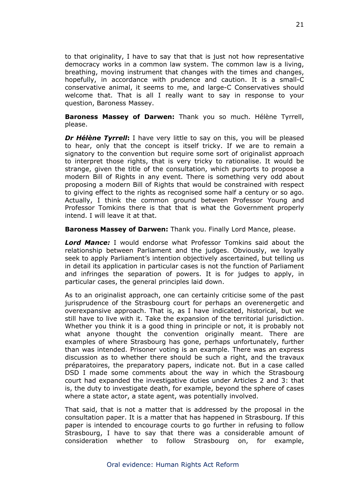to that originality, I have to say that that is just not how representative democracy works in a common law system. The common law is a living, breathing, moving instrument that changes with the times and changes, hopefully, in accordance with prudence and caution. It is a small-C conservative animal, it seems to me, and large-C Conservatives should welcome that. That is all I really want to say in response to your question, Baroness Massey.

**Baroness Massey of Darwen:** Thank you so much. Hélène Tyrrell, please.

*Dr Hélène Tyrrell***:** I have very little to say on this, you will be pleased to hear, only that the concept is itself tricky. If we are to remain a signatory to the convention but require some sort of originalist approach to interpret those rights, that is very tricky to rationalise. It would be strange, given the title of the consultation, which purports to propose a modern Bill of Rights in any event. There is something very odd about proposing a modern Bill of Rights that would be constrained with respect to giving effect to the rights as recognised some half a century or so ago. Actually, I think the common ground between Professor Young and Professor Tomkins there is that that is what the Government properly intend. I will leave it at that.

**Baroness Massey of Darwen:** Thank you. Finally Lord Mance, please.

*Lord Mance:* I would endorse what Professor Tomkins said about the relationship between Parliament and the judges. Obviously, we loyally seek to apply Parliament's intention objectively ascertained, but telling us in detail its application in particular cases is not the function of Parliament and infringes the separation of powers. It is for judges to apply, in particular cases, the general principles laid down.

As to an originalist approach, one can certainly criticise some of the past jurisprudence of the Strasbourg court for perhaps an overenergetic and overexpansive approach. That is, as I have indicated, historical, but we still have to live with it. Take the expansion of the territorial jurisdiction. Whether you think it is a good thing in principle or not, it is probably not what anyone thought the convention originally meant. There are examples of where Strasbourg has gone, perhaps unfortunately, further than was intended. Prisoner voting is an example. There was an express discussion as to whether there should be such a right, and the travaux préparatoires, the preparatory papers, indicate not. But in a case called DSD I made some comments about the way in which the Strasbourg court had expanded the investigative duties under Articles 2 and 3: that is, the duty to investigate death, for example, beyond the sphere of cases where a state actor, a state agent, was potentially involved.

That said, that is not a matter that is addressed by the proposal in the consultation paper. It is a matter that has happened in Strasbourg. If this paper is intended to encourage courts to go further in refusing to follow Strasbourg, I have to say that there was a considerable amount of consideration whether to follow Strasbourg on, for example,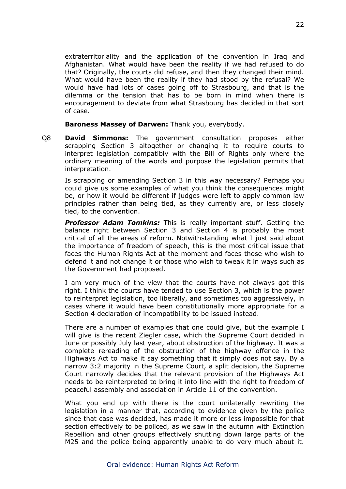extraterritoriality and the application of the convention in Iraq and Afghanistan. What would have been the reality if we had refused to do that? Originally, the courts did refuse, and then they changed their mind. What would have been the reality if they had stood by the refusal? We would have had lots of cases going off to Strasbourg, and that is the dilemma or the tension that has to be born in mind when there is encouragement to deviate from what Strasbourg has decided in that sort of case.

**Baroness Massey of Darwen:** Thank you, everybody.

Q8 **David Simmons:** The government consultation proposes either scrapping Section 3 altogether or changing it to require courts to interpret legislation compatibly with the Bill of Rights only where the ordinary meaning of the words and purpose the legislation permits that interpretation.

Is scrapping or amending Section 3 in this way necessary? Perhaps you could give us some examples of what you think the consequences might be, or how it would be different if judges were left to apply common law principles rather than being tied, as they currently are, or less closely tied, to the convention.

*Professor Adam Tomkins:* This is really important stuff. Getting the balance right between Section 3 and Section 4 is probably the most critical of all the areas of reform. Notwithstanding what I just said about the importance of freedom of speech, this is the most critical issue that faces the Human Rights Act at the moment and faces those who wish to defend it and not change it or those who wish to tweak it in ways such as the Government had proposed.

I am very much of the view that the courts have not always got this right. I think the courts have tended to use Section 3, which is the power to reinterpret legislation, too liberally, and sometimes too aggressively, in cases where it would have been constitutionally more appropriate for a Section 4 declaration of incompatibility to be issued instead.

There are a number of examples that one could give, but the example I will give is the recent Ziegler case, which the Supreme Court decided in June or possibly July last year, about obstruction of the highway. It was a complete rereading of the obstruction of the highway offence in the Highways Act to make it say something that it simply does not say. By a narrow 3:2 majority in the Supreme Court, a split decision, the Supreme Court narrowly decides that the relevant provision of the Highways Act needs to be reinterpreted to bring it into line with the right to freedom of peaceful assembly and association in Article 11 of the convention.

What you end up with there is the court unilaterally rewriting the legislation in a manner that, according to evidence given by the police since that case was decided, has made it more or less impossible for that section effectively to be policed, as we saw in the autumn with Extinction Rebellion and other groups effectively shutting down large parts of the M25 and the police being apparently unable to do very much about it.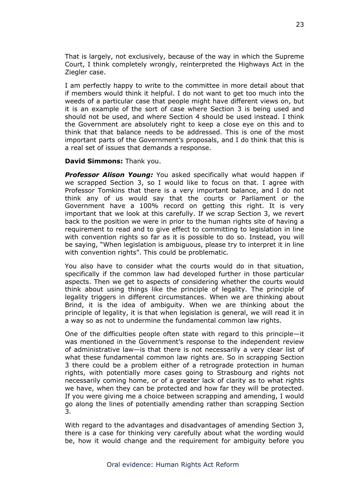That is largely, not exclusively, because of the way in which the Supreme Court, I think completely wrongly, reinterpreted the Highways Act in the Ziegler case.

I am perfectly happy to write to the committee in more detail about that if members would think it helpful. I do not want to get too much into the weeds of a particular case that people might have different views on, but it is an example of the sort of case where Section 3 is being used and should not be used, and where Section 4 should be used instead. I think the Government are absolutely right to keep a close eye on this and to think that that balance needs to be addressed. This is one of the most important parts of the Government's proposals, and I do think that this is a real set of issues that demands a response.

#### **David Simmons:** Thank you.

*Professor Alison Young:* You asked specifically what would happen if we scrapped Section 3, so I would like to focus on that. I agree with Professor Tomkins that there is a very important balance, and I do not think any of us would say that the courts or Parliament or the Government have a 100% record on getting this right. It is very important that we look at this carefully. If we scrap Section 3, we revert back to the position we were in prior to the human rights site of having a requirement to read and to give effect to committing to legislation in line with convention rights so far as it is possible to do so. Instead, you will be saying, "When legislation is ambiguous, please try to interpret it in line with convention rights". This could be problematic.

You also have to consider what the courts would do in that situation, specifically if the common law had developed further in those particular aspects. Then we get to aspects of considering whether the courts would think about using things like the principle of legality. The principle of legality triggers in different circumstances. When we are thinking about Brind, it is the idea of ambiguity. When we are thinking about the principle of legality, it is that when legislation is general, we will read it in a way so as not to undermine the fundamental common law rights.

One of the difficulties people often state with regard to this principle—it was mentioned in the Government's response to the independent review of administrative law—is that there is not necessarily a very clear list of what these fundamental common law rights are. So in scrapping Section 3 there could be a problem either of a retrograde protection in human rights, with potentially more cases going to Strasbourg and rights not necessarily coming home, or of a greater lack of clarity as to what rights we have, when they can be protected and how far they will be protected. If you were giving me a choice between scrapping and amending, I would go along the lines of potentially amending rather than scrapping Section 3.

With regard to the advantages and disadvantages of amending Section 3, there is a case for thinking very carefully about what the wording would be, how it would change and the requirement for ambiguity before you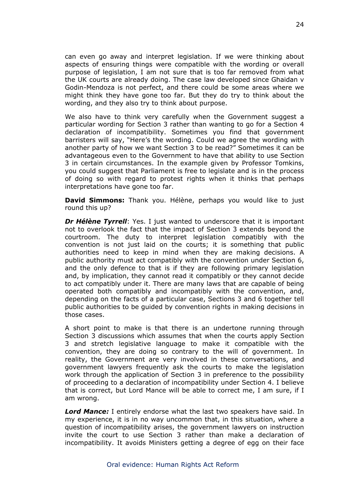can even go away and interpret legislation. If we were thinking about aspects of ensuring things were compatible with the wording or overall purpose of legislation, I am not sure that is too far removed from what the UK courts are already doing. The case law developed since Ghaidan v Godin-Mendoza is not perfect, and there could be some areas where we might think they have gone too far. But they do try to think about the wording, and they also try to think about purpose.

We also have to think very carefully when the Government suggest a particular wording for Section 3 rather than wanting to go for a Section 4 declaration of incompatibility. Sometimes you find that government barristers will say, "Here's the wording. Could we agree the wording with another party of how we want Section 3 to be read?" Sometimes it can be advantageous even to the Government to have that ability to use Section 3 in certain circumstances. In the example given by Professor Tomkins, you could suggest that Parliament is free to legislate and is in the process of doing so with regard to protest rights when it thinks that perhaps interpretations have gone too far.

**David Simmons:** Thank you. Hélène, perhaps you would like to just round this up?

*Dr Hélène Tyrrell*: Yes. I just wanted to underscore that it is important not to overlook the fact that the impact of Section 3 extends beyond the courtroom. The duty to interpret legislation compatibly with the convention is not just laid on the courts; it is something that public authorities need to keep in mind when they are making decisions. A public authority must act compatibly with the convention under Section 6, and the only defence to that is if they are following primary legislation and, by implication, they cannot read it compatibly or they cannot decide to act compatibly under it. There are many laws that are capable of being operated both compatibly and incompatibly with the convention, and, depending on the facts of a particular case, Sections 3 and 6 together tell public authorities to be guided by convention rights in making decisions in those cases.

A short point to make is that there is an undertone running through Section 3 discussions which assumes that when the courts apply Section 3 and stretch legislative language to make it compatible with the convention, they are doing so contrary to the will of government. In reality, the Government are very involved in these conversations, and government lawyers frequently ask the courts to make the legislation work through the application of Section 3 in preference to the possibility of proceeding to a declaration of incompatibility under Section 4. I believe that is correct, but Lord Mance will be able to correct me, I am sure, if I am wrong.

*Lord Mance:* I entirely endorse what the last two speakers have said. In my experience, it is in no way uncommon that, in this situation, where a question of incompatibility arises, the government lawyers on instruction invite the court to use Section 3 rather than make a declaration of incompatibility. It avoids Ministers getting a degree of egg on their face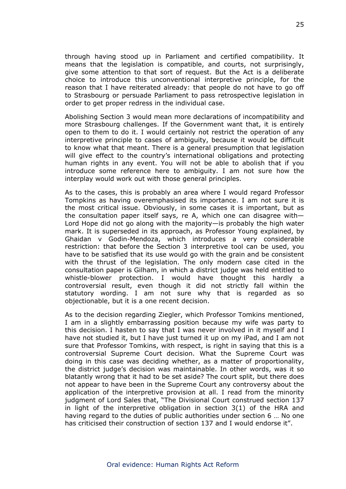through having stood up in Parliament and certified compatibility. It means that the legislation is compatible, and courts, not surprisingly, give some attention to that sort of request. But the Act is a deliberate choice to introduce this unconventional interpretive principle, for the reason that I have reiterated already: that people do not have to go off to Strasbourg or persuade Parliament to pass retrospective legislation in order to get proper redress in the individual case.

Abolishing Section 3 would mean more declarations of incompatibility and more Strasbourg challenges. If the Government want that, it is entirely open to them to do it. I would certainly not restrict the operation of any interpretive principle to cases of ambiguity, because it would be difficult to know what that meant. There is a general presumption that legislation will give effect to the country's international obligations and protecting human rights in any event. You will not be able to abolish that if you introduce some reference here to ambiguity. I am not sure how the interplay would work out with those general principles.

As to the cases, this is probably an area where I would regard Professor Tompkins as having overemphasised its importance. I am not sure it is the most critical issue. Obviously, in some cases it is important, but as the consultation paper itself says, re A, which one can disagree with— Lord Hope did not go along with the majority—is probably the high water mark. It is superseded in its approach, as Professor Young explained, by Ghaidan v Godin-Mendoza, which introduces a very considerable restriction: that before the Section 3 interpretive tool can be used, you have to be satisfied that its use would go with the grain and be consistent with the thrust of the legislation. The only modern case cited in the consultation paper is Gilham, in which a district judge was held entitled to whistle-blower protection. I would have thought this hardly a controversial result, even though it did not strictly fall within the statutory wording. I am not sure why that is regarded as so objectionable, but it is a one recent decision.

As to the decision regarding Ziegler, which Professor Tomkins mentioned, I am in a slightly embarrassing position because my wife was party to this decision. I hasten to say that I was never involved in it myself and I have not studied it, but I have just turned it up on my iPad, and I am not sure that Professor Tomkins, with respect, is right in saying that this is a controversial Supreme Court decision. What the Supreme Court was doing in this case was deciding whether, as a matter of proportionality, the district judge's decision was maintainable. In other words, was it so blatantly wrong that it had to be set aside? The court split, but there does not appear to have been in the Supreme Court any controversy about the application of the interpretive provision at all. I read from the minority judgment of Lord Sales that, "The Divisional Court construed section 137 in light of the interpretive obligation in section 3(1) of the HRA and having regard to the duties of public authorities under section 6 … No one has criticised their construction of section 137 and I would endorse it".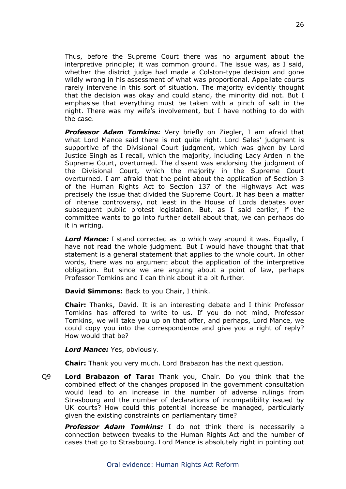Thus, before the Supreme Court there was no argument about the interpretive principle; it was common ground. The issue was, as I said, whether the district judge had made a Colston-type decision and gone wildly wrong in his assessment of what was proportional. Appellate courts rarely intervene in this sort of situation. The majority evidently thought that the decision was okay and could stand, the minority did not. But I emphasise that everything must be taken with a pinch of salt in the night. There was my wife's involvement, but I have nothing to do with the case.

*Professor Adam Tomkins:* Very briefly on Ziegler, I am afraid that what Lord Mance said there is not quite right. Lord Sales' judgment is supportive of the Divisional Court judgment, which was given by Lord Justice Singh as I recall, which the majority, including Lady Arden in the Supreme Court, overturned. The dissent was endorsing the judgment of the Divisional Court, which the majority in the Supreme Court overturned. I am afraid that the point about the application of Section 3 of the Human Rights Act to Section 137 of the Highways Act was precisely the issue that divided the Supreme Court. It has been a matter of intense controversy, not least in the House of Lords debates over subsequent public protest legislation. But, as I said earlier, if the committee wants to go into further detail about that, we can perhaps do it in writing.

*Lord Mance:* I stand corrected as to which way around it was. Equally, I have not read the whole judgment. But I would have thought that that statement is a general statement that applies to the whole court. In other words, there was no argument about the application of the interpretive obligation. But since we are arguing about a point of law, perhaps Professor Tomkins and I can think about it a bit further.

**David Simmons:** Back to you Chair, I think.

**Chair:** Thanks, David. It is an interesting debate and I think Professor Tomkins has offered to write to us. If you do not mind, Professor Tomkins, we will take you up on that offer, and perhaps, Lord Mance, we could copy you into the correspondence and give you a right of reply? How would that be?

*Lord Mance:* Yes, obviously.

**Chair:** Thank you very much. Lord Brabazon has the next question.

Q9 **Lord Brabazon of Tara:** Thank you, Chair. Do you think that the combined effect of the changes proposed in the government consultation would lead to an increase in the number of adverse rulings from Strasbourg and the number of declarations of incompatibility issued by UK courts? How could this potential increase be managed, particularly given the existing constraints on parliamentary time?

*Professor Adam Tomkins:* I do not think there is necessarily a connection between tweaks to the Human Rights Act and the number of cases that go to Strasbourg. Lord Mance is absolutely right in pointing out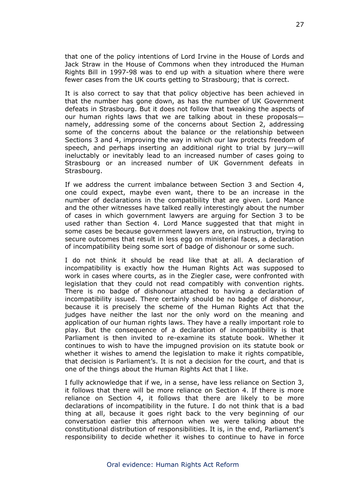that one of the policy intentions of Lord Irvine in the House of Lords and Jack Straw in the House of Commons when they introduced the Human Rights Bill in 1997-98 was to end up with a situation where there were fewer cases from the UK courts getting to Strasbourg; that is correct.

It is also correct to say that that policy objective has been achieved in that the number has gone down, as has the number of UK Government defeats in Strasbourg. But it does not follow that tweaking the aspects of our human rights laws that we are talking about in these proposals namely, addressing some of the concerns about Section 2, addressing some of the concerns about the balance or the relationship between Sections 3 and 4, improving the way in which our law protects freedom of speech, and perhaps inserting an additional right to trial by jury—will ineluctably or inevitably lead to an increased number of cases going to Strasbourg or an increased number of UK Government defeats in Strasbourg.

If we address the current imbalance between Section 3 and Section 4, one could expect, maybe even want, there to be an increase in the number of declarations in the compatibility that are given. Lord Mance and the other witnesses have talked really interestingly about the number of cases in which government lawyers are arguing for Section 3 to be used rather than Section 4. Lord Mance suggested that that might in some cases be because government lawyers are, on instruction, trying to secure outcomes that result in less egg on ministerial faces, a declaration of incompatibility being some sort of badge of dishonour or some such.

I do not think it should be read like that at all. A declaration of incompatibility is exactly how the Human Rights Act was supposed to work in cases where courts, as in the Ziegler case, were confronted with legislation that they could not read compatibly with convention rights. There is no badge of dishonour attached to having a declaration of incompatibility issued. There certainly should be no badge of dishonour, because it is precisely the scheme of the Human Rights Act that the judges have neither the last nor the only word on the meaning and application of our human rights laws. They have a really important role to play. But the consequence of a declaration of incompatibility is that Parliament is then invited to re-examine its statute book. Whether it continues to wish to have the impugned provision on its statute book or whether it wishes to amend the legislation to make it rights compatible, that decision is Parliament's. It is not a decision for the court, and that is one of the things about the Human Rights Act that I like.

I fully acknowledge that if we, in a sense, have less reliance on Section 3, it follows that there will be more reliance on Section 4. If there is more reliance on Section 4, it follows that there are likely to be more declarations of incompatibility in the future. I do not think that is a bad thing at all, because it goes right back to the very beginning of our conversation earlier this afternoon when we were talking about the constitutional distribution of responsibilities. It is, in the end, Parliament's responsibility to decide whether it wishes to continue to have in force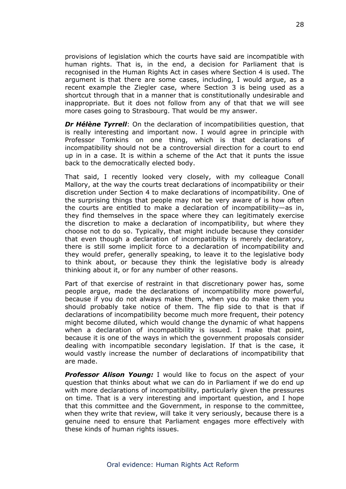provisions of legislation which the courts have said are incompatible with human rights. That is, in the end, a decision for Parliament that is recognised in the Human Rights Act in cases where Section 4 is used. The argument is that there are some cases, including, I would argue, as a recent example the Ziegler case, where Section 3 is being used as a shortcut through that in a manner that is constitutionally undesirable and inappropriate. But it does not follow from any of that that we will see more cases going to Strasbourg. That would be my answer.

*Dr Hélène Tyrrell*: On the declaration of incompatibilities question, that is really interesting and important now. I would agree in principle with Professor Tomkins on one thing, which is that declarations of incompatibility should not be a controversial direction for a court to end up in in a case. It is within a scheme of the Act that it punts the issue back to the democratically elected body.

That said, I recently looked very closely, with my colleague Conall Mallory, at the way the courts treat declarations of incompatibility or their discretion under Section 4 to make declarations of incompatibility. One of the surprising things that people may not be very aware of is how often the courts are entitled to make a declaration of incompatibility—as in, they find themselves in the space where they can legitimately exercise the discretion to make a declaration of incompatibility, but where they choose not to do so. Typically, that might include because they consider that even though a declaration of incompatibility is merely declaratory, there is still some implicit force to a declaration of incompatibility and they would prefer, generally speaking, to leave it to the legislative body to think about, or because they think the legislative body is already thinking about it, or for any number of other reasons.

Part of that exercise of restraint in that discretionary power has, some people argue, made the declarations of incompatibility more powerful, because if you do not always make them, when you do make them you should probably take notice of them. The flip side to that is that if declarations of incompatibility become much more frequent, their potency might become diluted, which would change the dynamic of what happens when a declaration of incompatibility is issued. I make that point, because it is one of the ways in which the government proposals consider dealing with incompatible secondary legislation. If that is the case, it would vastly increase the number of declarations of incompatibility that are made.

*Professor Alison Young:* I would like to focus on the aspect of your question that thinks about what we can do in Parliament if we do end up with more declarations of incompatibility, particularly given the pressures on time. That is a very interesting and important question, and I hope that this committee and the Government, in response to the committee, when they write that review, will take it very seriously, because there is a genuine need to ensure that Parliament engages more effectively with these kinds of human rights issues.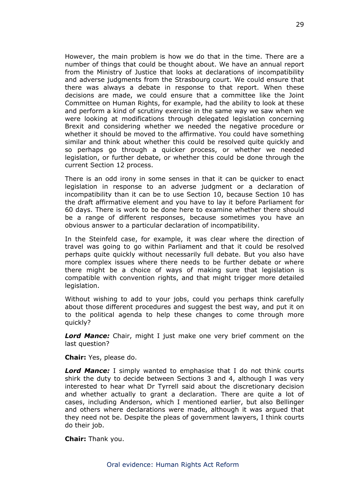However, the main problem is how we do that in the time. There are a number of things that could be thought about. We have an annual report from the Ministry of Justice that looks at declarations of incompatibility and adverse judgments from the Strasbourg court. We could ensure that there was always a debate in response to that report. When these decisions are made, we could ensure that a committee like the Joint Committee on Human Rights, for example, had the ability to look at these and perform a kind of scrutiny exercise in the same way we saw when we were looking at modifications through delegated legislation concerning Brexit and considering whether we needed the negative procedure or whether it should be moved to the affirmative. You could have something similar and think about whether this could be resolved quite quickly and so perhaps go through a quicker process, or whether we needed legislation, or further debate, or whether this could be done through the current Section 12 process.

There is an odd irony in some senses in that it can be quicker to enact legislation in response to an adverse judgment or a declaration of incompatibility than it can be to use Section 10, because Section 10 has the draft affirmative element and you have to lay it before Parliament for 60 days. There is work to be done here to examine whether there should be a range of different responses, because sometimes you have an obvious answer to a particular declaration of incompatibility.

In the Steinfeld case, for example, it was clear where the direction of travel was going to go within Parliament and that it could be resolved perhaps quite quickly without necessarily full debate. But you also have more complex issues where there needs to be further debate or where there might be a choice of ways of making sure that legislation is compatible with convention rights, and that might trigger more detailed legislation.

Without wishing to add to your jobs, could you perhaps think carefully about those different procedures and suggest the best way, and put it on to the political agenda to help these changes to come through more quickly?

*Lord Mance:* Chair, might I just make one very brief comment on the last question?

**Chair:** Yes, please do.

*Lord Mance:* I simply wanted to emphasise that I do not think courts shirk the duty to decide between Sections 3 and 4, although I was very interested to hear what Dr Tyrrell said about the discretionary decision and whether actually to grant a declaration. There are quite a lot of cases, including Anderson, which I mentioned earlier, but also Bellinger and others where declarations were made, although it was argued that they need not be. Despite the pleas of government lawyers, I think courts do their job.

**Chair:** Thank you.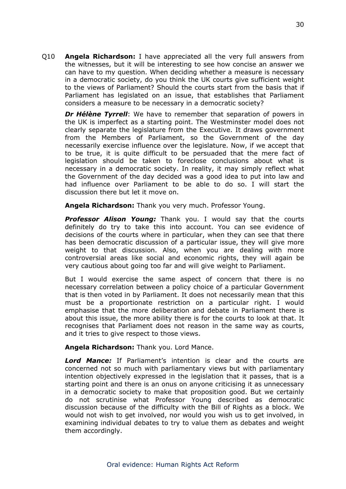Q10 **Angela Richardson:** I have appreciated all the very full answers from the witnesses, but it will be interesting to see how concise an answer we can have to my question. When deciding whether a measure is necessary in a democratic society, do you think the UK courts give sufficient weight to the views of Parliament? Should the courts start from the basis that if Parliament has legislated on an issue, that establishes that Parliament considers a measure to be necessary in a democratic society?

*Dr Hélène Tyrrell*: We have to remember that separation of powers in the UK is imperfect as a starting point. The Westminster model does not clearly separate the legislature from the Executive. It draws government from the Members of Parliament, so the Government of the day necessarily exercise influence over the legislature. Now, if we accept that to be true, it is quite difficult to be persuaded that the mere fact of legislation should be taken to foreclose conclusions about what is necessary in a democratic society. In reality, it may simply reflect what the Government of the day decided was a good idea to put into law and had influence over Parliament to be able to do so. I will start the discussion there but let it move on.

**Angela Richardson:** Thank you very much. Professor Young.

*Professor Alison Young:* Thank you. I would say that the courts definitely do try to take this into account. You can see evidence of decisions of the courts where in particular, when they can see that there has been democratic discussion of a particular issue, they will give more weight to that discussion. Also, when you are dealing with more controversial areas like social and economic rights, they will again be very cautious about going too far and will give weight to Parliament.

But I would exercise the same aspect of concern that there is no necessary correlation between a policy choice of a particular Government that is then voted in by Parliament. It does not necessarily mean that this must be a proportionate restriction on a particular right. I would emphasise that the more deliberation and debate in Parliament there is about this issue, the more ability there is for the courts to look at that. It recognises that Parliament does not reason in the same way as courts, and it tries to give respect to those views.

**Angela Richardson:** Thank you. Lord Mance.

*Lord Mance:* If Parliament's intention is clear and the courts are concerned not so much with parliamentary views but with parliamentary intention objectively expressed in the legislation that it passes, that is a starting point and there is an onus on anyone criticising it as unnecessary in a democratic society to make that proposition good. But we certainly do not scrutinise what Professor Young described as democratic discussion because of the difficulty with the Bill of Rights as a block. We would not wish to get involved, nor would you wish us to get involved, in examining individual debates to try to value them as debates and weight them accordingly.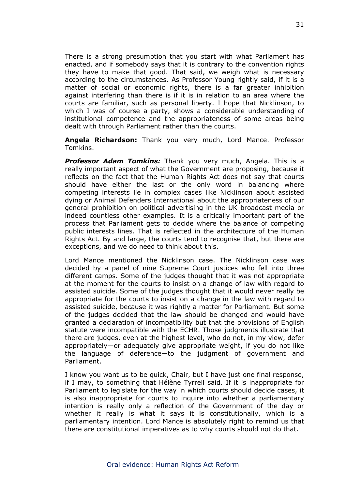There is a strong presumption that you start with what Parliament has enacted, and if somebody says that it is contrary to the convention rights they have to make that good. That said, we weigh what is necessary according to the circumstances. As Professor Young rightly said, if it is a matter of social or economic rights, there is a far greater inhibition against interfering than there is if it is in relation to an area where the courts are familiar, such as personal liberty. I hope that Nicklinson, to which I was of course a party, shows a considerable understanding of institutional competence and the appropriateness of some areas being dealt with through Parliament rather than the courts.

**Angela Richardson:** Thank you very much, Lord Mance. Professor Tomkins.

*Professor Adam Tomkins:* Thank you very much, Angela. This is a really important aspect of what the Government are proposing, because it reflects on the fact that the Human Rights Act does not say that courts should have either the last or the only word in balancing where competing interests lie in complex cases like Nicklinson about assisted dying or Animal Defenders International about the appropriateness of our general prohibition on political advertising in the UK broadcast media or indeed countless other examples. It is a critically important part of the process that Parliament gets to decide where the balance of competing public interests lines. That is reflected in the architecture of the Human Rights Act. By and large, the courts tend to recognise that, but there are exceptions, and we do need to think about this.

Lord Mance mentioned the Nicklinson case. The Nicklinson case was decided by a panel of nine Supreme Court justices who fell into three different camps. Some of the judges thought that it was not appropriate at the moment for the courts to insist on a change of law with regard to assisted suicide. Some of the judges thought that it would never really be appropriate for the courts to insist on a change in the law with regard to assisted suicide, because it was rightly a matter for Parliament. But some of the judges decided that the law should be changed and would have granted a declaration of incompatibility but that the provisions of English statute were incompatible with the ECHR. Those judgments illustrate that there are judges, even at the highest level, who do not, in my view, defer appropriately—or adequately give appropriate weight, if you do not like the language of deference—to the judgment of government and Parliament.

I know you want us to be quick, Chair, but I have just one final response, if I may, to something that Hélène Tyrrell said. If it is inappropriate for Parliament to legislate for the way in which courts should decide cases, it is also inappropriate for courts to inquire into whether a parliamentary intention is really only a reflection of the Government of the day or whether it really is what it says it is constitutionally, which is a parliamentary intention. Lord Mance is absolutely right to remind us that there are constitutional imperatives as to why courts should not do that.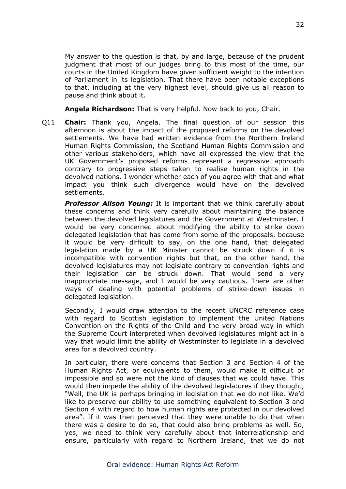My answer to the question is that, by and large, because of the prudent judgment that most of our judges bring to this most of the time, our courts in the United Kingdom have given sufficient weight to the intention of Parliament in its legislation. That there have been notable exceptions to that, including at the very highest level, should give us all reason to pause and think about it.

**Angela Richardson:** That is very helpful. Now back to you, Chair.

Q11 **Chair:** Thank you, Angela. The final question of our session this afternoon is about the impact of the proposed reforms on the devolved settlements. We have had written evidence from the Northern Ireland Human Rights Commission, the Scotland Human Rights Commission and other various stakeholders, which have all expressed the view that the UK Government's proposed reforms represent a regressive approach contrary to progressive steps taken to realise human rights in the devolved nations. I wonder whether each of you agree with that and what impact you think such divergence would have on the devolved settlements.

*Professor Alison Young:* It is important that we think carefully about these concerns and think very carefully about maintaining the balance between the devolved legislatures and the Government at Westminster. I would be very concerned about modifying the ability to strike down delegated legislation that has come from some of the proposals, because it would be very difficult to say, on the one hand, that delegated legislation made by a UK Minister cannot be struck down if it is incompatible with convention rights but that, on the other hand, the devolved legislatures may not legislate contrary to convention rights and their legislation can be struck down. That would send a very inappropriate message, and I would be very cautious. There are other ways of dealing with potential problems of strike-down issues in delegated legislation.

Secondly, I would draw attention to the recent UNCRC reference case with regard to Scottish legislation to implement the United Nations Convention on the Rights of the Child and the very broad way in which the Supreme Court interpreted when devolved legislatures might act in a way that would limit the ability of Westminster to legislate in a devolved area for a devolved country.

In particular, there were concerns that Section 3 and Section 4 of the Human Rights Act, or equivalents to them, would make it difficult or impossible and so were not the kind of clauses that we could have. This would then impede the ability of the devolved legislatures if they thought, "Well, the UK is perhaps bringing in legislation that we do not like. We'd like to preserve our ability to use something equivalent to Section 3 and Section 4 with regard to how human rights are protected in our devolved area". If it was then perceived that they were unable to do that when there was a desire to do so, that could also bring problems as well. So, yes, we need to think very carefully about that interrelationship and ensure, particularly with regard to Northern Ireland, that we do not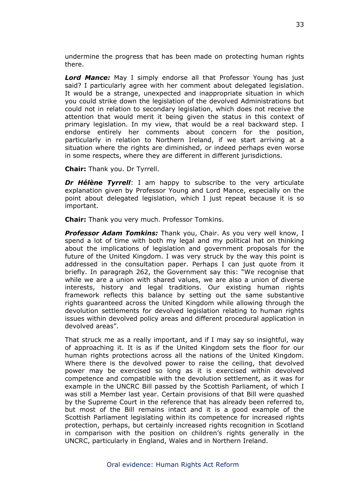undermine the progress that has been made on protecting human rights there.

*Lord Mance:* May I simply endorse all that Professor Young has just said? I particularly agree with her comment about delegated legislation. It would be a strange, unexpected and inappropriate situation in which you could strike down the legislation of the devolved Administrations but could not in relation to secondary legislation, which does not receive the attention that would merit it being given the status in this context of primary legislation. In my view, that would be a real backward step. I endorse entirely her comments about concern for the position, particularly in relation to Northern Ireland, if we start arriving at a situation where the rights are diminished, or indeed perhaps even worse in some respects, where they are different in different jurisdictions.

**Chair:** Thank you. Dr Tyrrell.

*Dr Hélène Tyrrell*: I am happy to subscribe to the very articulate explanation given by Professor Young and Lord Mance, especially on the point about delegated legislation, which I just repeat because it is so important.

**Chair:** Thank you very much. Professor Tomkins.

*Professor Adam Tomkins:* Thank you, Chair. As you very well know, I spend a lot of time with both my legal and my political hat on thinking about the implications of legislation and government proposals for the future of the United Kingdom. I was very struck by the way this point is addressed in the consultation paper. Perhaps I can just quote from it briefly. In paragraph 262, the Government say this: "We recognise that while we are a union with shared values, we are also a union of diverse interests, history and legal traditions. Our existing human rights framework reflects this balance by setting out the same substantive rights guaranteed across the United Kingdom while allowing through the devolution settlements for devolved legislation relating to human rights issues within devolved policy areas and different procedural application in devolved areas".

That struck me as a really important, and if I may say so insightful, way of approaching it. It is as if the United Kingdom sets the floor for our human rights protections across all the nations of the United Kingdom. Where there is the devolved power to raise the ceiling, that devolved power may be exercised so long as it is exercised within devolved competence and compatible with the devolution settlement, as it was for example in the UNCRC Bill passed by the Scottish Parliament, of which I was still a Member last year. Certain provisions of that Bill were quashed by the Supreme Court in the reference that has already been referred to, but most of the Bill remains intact and it is a good example of the Scottish Parliament legislating within its competence for increased rights protection, perhaps, but certainly increased rights recognition in Scotland in comparison with the position on children's rights generally in the UNCRC, particularly in England, Wales and in Northern Ireland.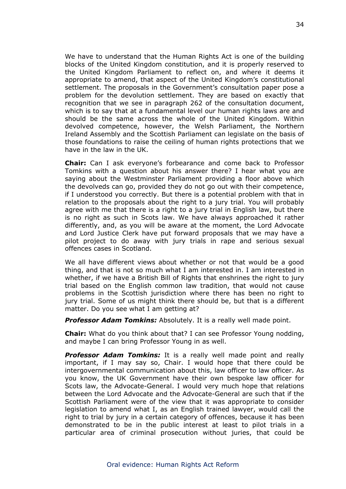We have to understand that the Human Rights Act is one of the building blocks of the United Kingdom constitution, and it is properly reserved to the United Kingdom Parliament to reflect on, and where it deems it appropriate to amend, that aspect of the United Kingdom's constitutional settlement. The proposals in the Government's consultation paper pose a problem for the devolution settlement. They are based on exactly that recognition that we see in paragraph 262 of the consultation document, which is to say that at a fundamental level our human rights laws are and should be the same across the whole of the United Kingdom. Within devolved competence, however, the Welsh Parliament, the Northern Ireland Assembly and the Scottish Parliament can legislate on the basis of those foundations to raise the ceiling of human rights protections that we have in the law in the UK.

**Chair:** Can I ask everyone's forbearance and come back to Professor Tomkins with a question about his answer there? I hear what you are saying about the Westminster Parliament providing a floor above which the devolveds can go, provided they do not go out with their competence, if I understood you correctly. But there is a potential problem with that in relation to the proposals about the right to a jury trial. You will probably agree with me that there is a right to a jury trial in English law, but there is no right as such in Scots law. We have always approached it rather differently, and, as you will be aware at the moment, the Lord Advocate and Lord Justice Clerk have put forward proposals that we may have a pilot project to do away with jury trials in rape and serious sexual offences cases in Scotland.

We all have different views about whether or not that would be a good thing, and that is not so much what I am interested in. I am interested in whether, if we have a British Bill of Rights that enshrines the right to jury trial based on the English common law tradition, that would not cause problems in the Scottish jurisdiction where there has been no right to jury trial. Some of us might think there should be, but that is a different matter. Do you see what I am getting at?

*Professor Adam Tomkins:* Absolutely. It is a really well made point.

**Chair:** What do you think about that? I can see Professor Young nodding, and maybe I can bring Professor Young in as well.

*Professor Adam Tomkins:* It is a really well made point and really important, if I may say so, Chair. I would hope that there could be intergovernmental communication about this, law officer to law officer. As you know, the UK Government have their own bespoke law officer for Scots law, the Advocate-General. I would very much hope that relations between the Lord Advocate and the Advocate-General are such that if the Scottish Parliament were of the view that it was appropriate to consider legislation to amend what I, as an English trained lawyer, would call the right to trial by jury in a certain category of offences, because it has been demonstrated to be in the public interest at least to pilot trials in a particular area of criminal prosecution without juries, that could be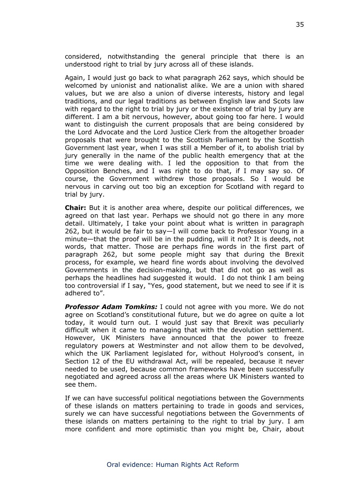considered, notwithstanding the general principle that there is an understood right to trial by jury across all of these islands.

Again, I would just go back to what paragraph 262 says, which should be welcomed by unionist and nationalist alike. We are a union with shared values, but we are also a union of diverse interests, history and legal traditions, and our legal traditions as between English law and Scots law with regard to the right to trial by jury or the existence of trial by jury are different. I am a bit nervous, however, about going too far here. I would want to distinguish the current proposals that are being considered by the Lord Advocate and the Lord Justice Clerk from the altogether broader proposals that were brought to the Scottish Parliament by the Scottish Government last year, when I was still a Member of it, to abolish trial by jury generally in the name of the public health emergency that at the time we were dealing with. I led the opposition to that from the Opposition Benches, and I was right to do that, if I may say so. Of course, the Government withdrew those proposals. So I would be nervous in carving out too big an exception for Scotland with regard to trial by jury.

**Chair:** But it is another area where, despite our political differences, we agreed on that last year. Perhaps we should not go there in any more detail. Ultimately, I take your point about what is written in paragraph 262, but it would be fair to say—I will come back to Professor Young in a minute—that the proof will be in the pudding, will it not? It is deeds, not words, that matter. Those are perhaps fine words in the first part of paragraph 262, but some people might say that during the Brexit process, for example, we heard fine words about involving the devolved Governments in the decision-making, but that did not go as well as perhaps the headlines had suggested it would. I do not think I am being too controversial if I say, "Yes, good statement, but we need to see if it is adhered to".

*Professor Adam Tomkins:* I could not agree with you more. We do not agree on Scotland's constitutional future, but we do agree on quite a lot today, it would turn out. I would just say that Brexit was peculiarly difficult when it came to managing that with the devolution settlement. However, UK Ministers have announced that the power to freeze regulatory powers at Westminster and not allow them to be devolved, which the UK Parliament legislated for, without Holyrood's consent, in Section 12 of the EU withdrawal Act, will be repealed, because it never needed to be used, because common frameworks have been successfully negotiated and agreed across all the areas where UK Ministers wanted to see them.

If we can have successful political negotiations between the Governments of these islands on matters pertaining to trade in goods and services, surely we can have successful negotiations between the Governments of these islands on matters pertaining to the right to trial by jury. I am more confident and more optimistic than you might be, Chair, about